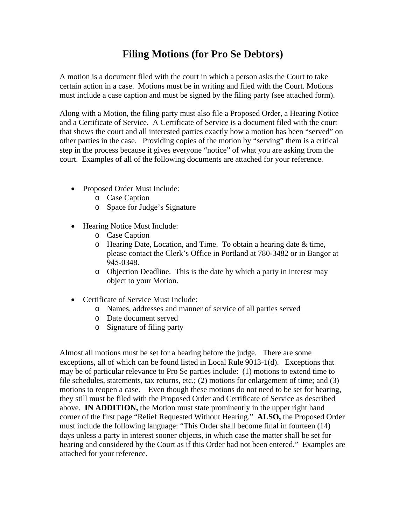# **Filing Motions (for Pro Se Debtors)**

A motion is a document filed with the court in which a person asks the Court to take certain action in a case. Motions must be in writing and filed with the Court. Motions must include a case caption and must be signed by the filing party (see attached form).

Along with a Motion, the filing party must also file a Proposed Order, a Hearing Notice and a Certificate of Service. A Certificate of Service is a document filed with the court that shows the court and all interested parties exactly how a motion has been "served" on other parties in the case. Providing copies of the motion by "serving" them is a critical step in the process because it gives everyone "notice" of what you are asking from the court. Examples of all of the following documents are attached for your reference.

- Proposed Order Must Include:
	- o Case Caption
	- o Space for Judge's Signature
- Hearing Notice Must Include:
	- o Case Caption
	- o Hearing Date, Location, and Time. To obtain a hearing date & time, please contact the Clerk's Office in Portland at 780-3482 or in Bangor at 945-0348.
	- o Objection Deadline. This is the date by which a party in interest may object to your Motion.
- Certificate of Service Must Include:
	- o Names, addresses and manner of service of all parties served
	- o Date document served
	- o Signature of filing party

Almost all motions must be set for a hearing before the judge. There are some exceptions, all of which can be found listed in Local Rule 9013-1(d). Exceptions that may be of particular relevance to Pro Se parties include: (1) motions to extend time to file schedules, statements, tax returns, etc.; (2) motions for enlargement of time; and (3) motions to reopen a case. Even though these motions do not need to be set for hearing, they still must be filed with the Proposed Order and Certificate of Service as described above. **IN ADDITION,** the Motion must state prominently in the upper right hand corner of the first page "Relief Requested Without Hearing." **ALSO,** the Proposed Order must include the following language: "This Order shall become final in fourteen (14) days unless a party in interest sooner objects, in which case the matter shall be set for hearing and considered by the Court as if this Order had not been entered." Examples are attached for your reference.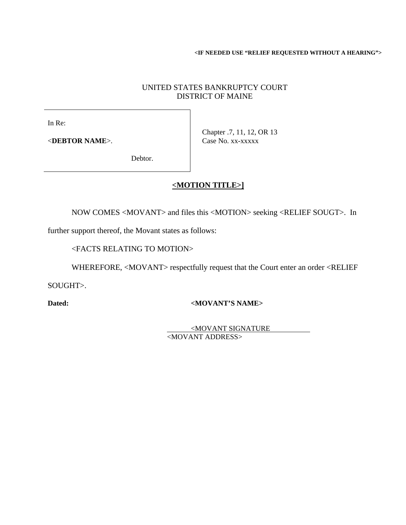**<IF NEEDED USE "RELIEF REQUESTED WITHOUT A HEARING">** 

## UNITED STATES BANKRUPTCY COURT DISTRICT OF MAINE

In Re:

<**DEBTOR NAME**>.

Chapter .7, 11, 12, OR 13 Case No. xx-xxxxx

Debtor.

# **<MOTION TITLE>]**

NOW COMES <MOVANT> and files this <MOTION> seeking <RELIEF SOUGT>. In

further support thereof, the Movant states as follows:

<FACTS RELATING TO MOTION>

WHEREFORE, <MOVANT> respectfully request that the Court enter an order <RELIEF

SOUGHT>.

#### Dated: <MOVANT'S NAME>

 <MOVANT SIGNATURE <MOVANT ADDRESS>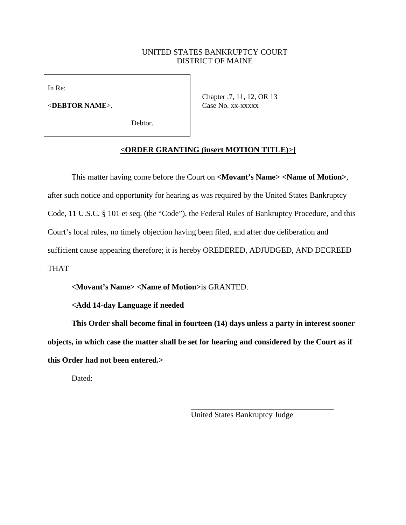#### UNITED STATES BANKRUPTCY COURT DISTRICT OF MAINE

In Re:

<**DEBTOR NAME**>.

Debtor.

Chapter .7, 11, 12, OR 13 Case No. xx-xxxxx

## **<ORDER GRANTING (insert MOTION TITLE)>]**

This matter having come before the Court on **<Movant's Name> <Name of Motion>**, after such notice and opportunity for hearing as was required by the United States Bankruptcy Code, 11 U.S.C. § 101 et seq. (the "Code"), the Federal Rules of Bankruptcy Procedure, and this Court's local rules, no timely objection having been filed, and after due deliberation and sufficient cause appearing therefore; it is hereby OREDERED, ADJUDGED, AND DECREED THAT

**<Movant's Name> <Name of Motion>**is GRANTED.

**<Add 14-day Language if needed** 

**This Order shall become final in fourteen (14) days unless a party in interest sooner objects, in which case the matter shall be set for hearing and considered by the Court as if this Order had not been entered.>** 

Dated:

United States Bankruptcy Judge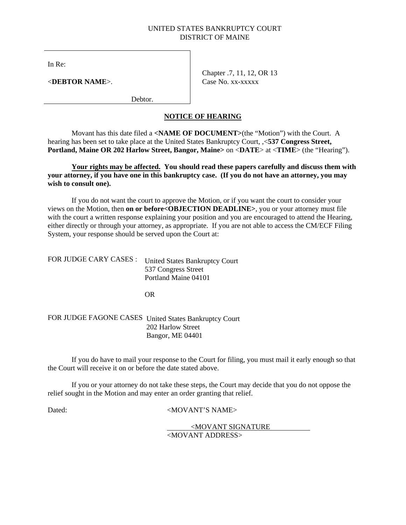#### UNITED STATES BANKRUPTCY COURT DISTRICT OF MAINE

In Re:

<**DEBTOR NAME**>.

Chapter .7, 11, 12, OR 13 Case No. xx-xxxxx

Debtor.

#### **NOTICE OF HEARING**

Movant has this date filed a **<NAME OF DOCUMENT>**(the "Motion") with the Court. A hearing has been set to take place at the United States Bankruptcy Court, ,<**537 Congress Street, Portland, Maine OR 202 Harlow Street, Bangor, Maine>** on <**DATE**> at <**TIME**> (the "Hearing").

**Your rights may be affected. You should read these papers carefully and discuss them with your attorney, if you have one in this bankruptcy case. (If you do not have an attorney, you may wish to consult one).** 

If you do not want the court to approve the Motion, or if you want the court to consider your views on the Motion, then **on or before<OBJECTION DEADLINE>**, you or your attorney must file with the court a written response explaining your position and you are encouraged to attend the Hearing, either directly or through your attorney, as appropriate. If you are not able to access the CM/ECF Filing System, your response should be served upon the Court at:

| FOR JUDGE CARY CASES : | <b>United States Bankruptcy Court</b> |
|------------------------|---------------------------------------|
|                        | 537 Congress Street                   |
|                        | Portland Maine 04101                  |
|                        |                                       |

OR

FOR JUDGE FAGONE CASES United States Bankruptcy Court 202 Harlow Street Bangor, ME 04401

If you do have to mail your response to the Court for filing, you must mail it early enough so that the Court will receive it on or before the date stated above.

If you or your attorney do not take these steps, the Court may decide that you do not oppose the relief sought in the Motion and may enter an order granting that relief.

Dated:  $\langle \text{MOVANT'S NAME} \rangle$ 

<MOVANT SIGNATURE <MOVANT ADDRESS>